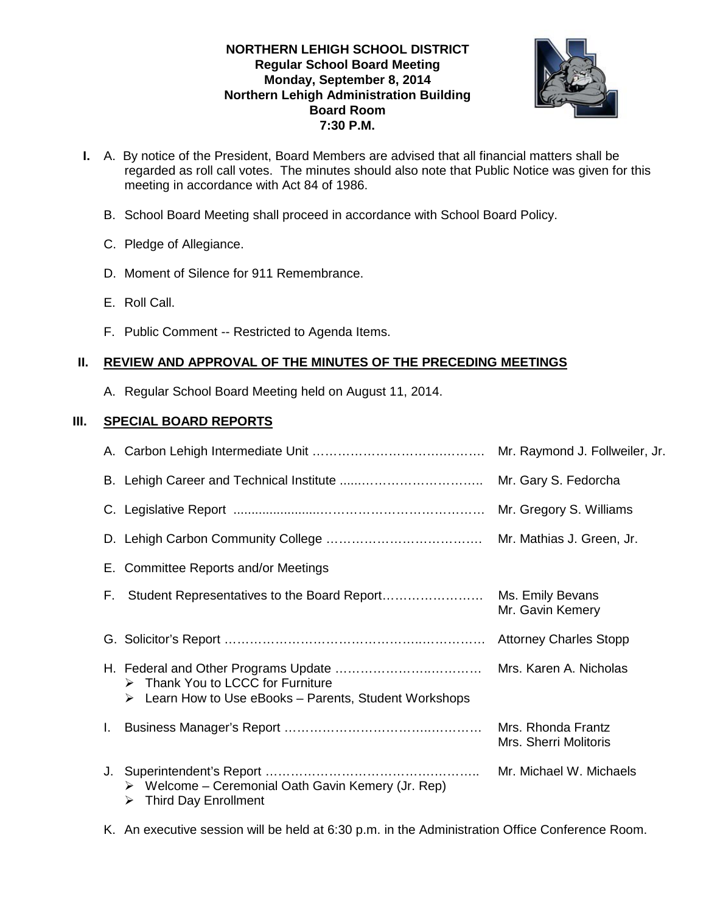## **NORTHERN LEHIGH SCHOOL DISTRICT Regular School Board Meeting Monday, September 8, 2014 Northern Lehigh Administration Building Board Room 7:30 P.M.**



- **I.** A. By notice of the President, Board Members are advised that all financial matters shall be regarded as roll call votes. The minutes should also note that Public Notice was given for this meeting in accordance with Act 84 of 1986.
	- B. School Board Meeting shall proceed in accordance with School Board Policy.
	- C. Pledge of Allegiance.
	- D. Moment of Silence for 911 Remembrance.
	- E. Roll Call.
	- F. Public Comment -- Restricted to Agenda Items.

# **II. REVIEW AND APPROVAL OF THE MINUTES OF THE PRECEDING MEETINGS**

A. Regular School Board Meeting held on August 11, 2014.

# **III. SPECIAL BOARD REPORTS**

|    |                                                                                                                           | Mr. Raymond J. Follweiler, Jr.              |
|----|---------------------------------------------------------------------------------------------------------------------------|---------------------------------------------|
|    |                                                                                                                           |                                             |
|    |                                                                                                                           | Mr. Gregory S. Williams                     |
|    |                                                                                                                           |                                             |
|    | E. Committee Reports and/or Meetings                                                                                      |                                             |
| F. |                                                                                                                           | Mr. Gavin Kemery                            |
|    |                                                                                                                           |                                             |
|    | $\triangleright$ Thank You to LCCC for Furniture<br>$\triangleright$ Learn How to Use eBooks – Parents, Student Workshops |                                             |
|    |                                                                                                                           | Mrs. Rhonda Frantz<br>Mrs. Sherri Molitoris |
|    | $\triangleright$ Welcome – Ceremonial Oath Gavin Kemery (Jr. Rep)<br><b>Third Day Enrollment</b><br>➤                     |                                             |

K. An executive session will be held at 6:30 p.m. in the Administration Office Conference Room.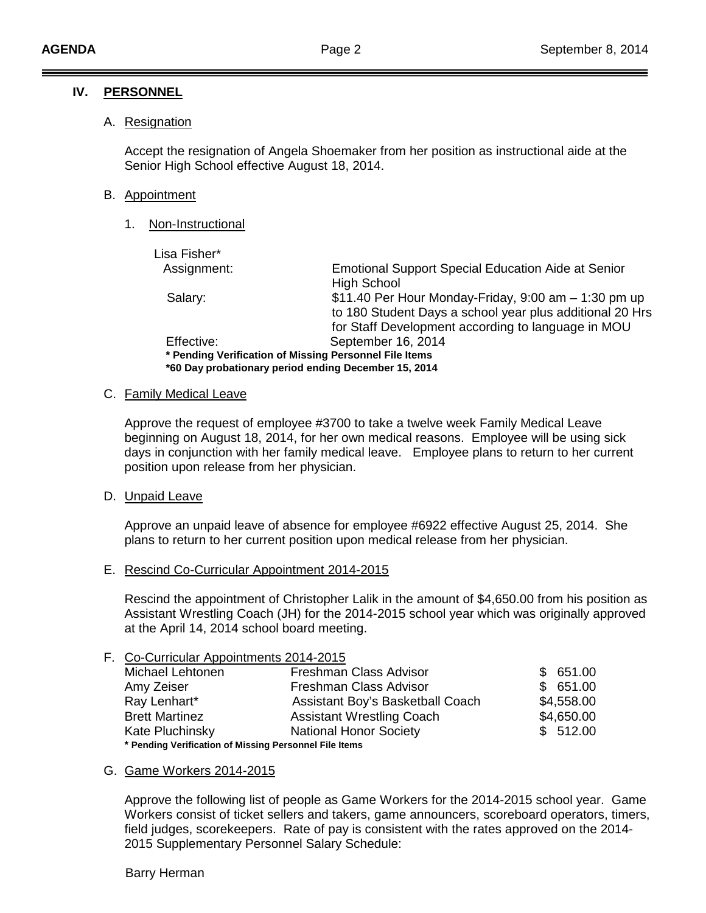#### **IV. PERSONNEL**

#### A. <u>Resignation</u>

Accept the resignation of Angela Shoemaker from her position as instructional aide at the Senior High School effective August 18, 2014.

#### B. Appointment

1. <u>Non-Instructional</u>

| Lisa Fisher* |                                                           |  |  |  |
|--------------|-----------------------------------------------------------|--|--|--|
| Assignment:  | <b>Emotional Support Special Education Aide at Senior</b> |  |  |  |
|              | <b>High School</b>                                        |  |  |  |
| Salary:      | \$11.40 Per Hour Monday-Friday, 9:00 am - 1:30 pm up      |  |  |  |
|              | to 180 Student Days a school year plus additional 20 Hrs  |  |  |  |
|              | for Staff Development according to language in MOU        |  |  |  |
| Effective:   | September 16, 2014                                        |  |  |  |
|              | * Pending Verification of Missing Personnel File Items    |  |  |  |
|              | *60 Day probationary period ending December 15, 2014      |  |  |  |

# C. Family Medical Leave

Approve the request of employee #3700 to take a twelve week Family Medical Leave beginning on August 18, 2014, for her own medical reasons. Employee will be using sick days in conjunction with her family medical leave. Employee plans to return to her current position upon release from her physician.

## D. <u>Unpaid Leave</u>

Approve an unpaid leave of absence for employee #6922 effective August 25, 2014. She plans to return to her current position upon medical release from her physician.

E. Rescind Co-Curricular Appointment 2014-2015

Rescind the appointment of Christopher Lalik in the amount of \$4,650.00 from his position as Assistant Wrestling Coach (JH) for the 2014-2015 school year which was originally approved at the April 14, 2014 school board meeting.

### F. Co-Curricular Appointments 2014-2015

| Michael Lehtonen                                       | Freshman Class Advisor           | \$651.00   |  |  |  |
|--------------------------------------------------------|----------------------------------|------------|--|--|--|
| Amy Zeiser                                             | Freshman Class Advisor           | \$651.00   |  |  |  |
| Ray Lenhart*                                           | Assistant Boy's Basketball Coach | \$4,558.00 |  |  |  |
| <b>Brett Martinez</b>                                  | <b>Assistant Wrestling Coach</b> | \$4,650.00 |  |  |  |
| Kate Pluchinsky                                        | <b>National Honor Society</b>    | \$512.00   |  |  |  |
| * Pending Verification of Missing Personnel File Items |                                  |            |  |  |  |

# G. Game Workers 2014-2015

Approve the following list of people as Game Workers for the 2014-2015 school year. Game Workers consist of ticket sellers and takers, game announcers, scoreboard operators, timers, field judges, scorekeepers. Rate of pay is consistent with the rates approved on the 2014- 2015 Supplementary Personnel Salary Schedule:

#### Barry Herman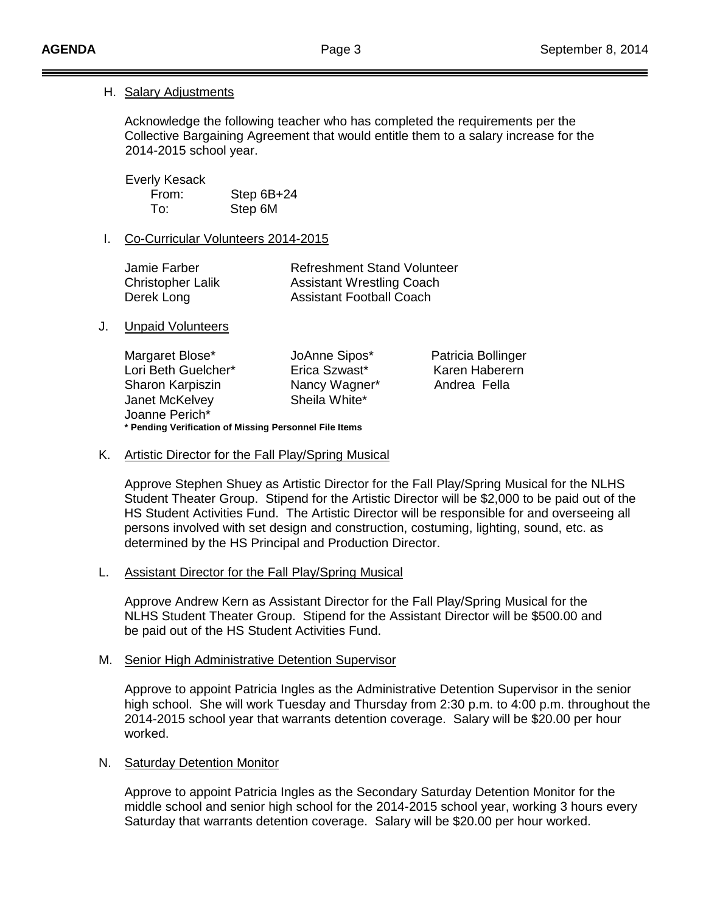# H. Salary Adjustments

Acknowledge the following teacher who has completed the requirements per the Collective Bargaining Agreement that would entitle them to a salary increase for the 2014-2015 school year.

 Everly Kesack From: Step 6B+24 To: Step 6M

# I. Co-Curricular Volunteers 2014-2015

| Jamie Farber             | <b>Refreshment Stand Volunteer</b> |
|--------------------------|------------------------------------|
| <b>Christopher Lalik</b> | <b>Assistant Wrestling Coach</b>   |
| Derek Long               | <b>Assistant Football Coach</b>    |

J. Unpaid Volunteers

Margaret Blose\* JoAnne Sipos\* Patricia Bollinger<br>Lori Beth Guelcher\* Erica Szwast\* Karen Haberern Lori Beth Guelcher\* Sharon Karpiszin Nancy Wagner\* Andrea Fella Janet McKelvey Joanne Perich\* **\* Pending Verification of Missing Personnel File Items**

K. Artistic Director for the Fall Play/Spring Musical

Approve Stephen Shuey as Artistic Director for the Fall Play/Spring Musical for the NLHS Student Theater Group. Stipend for the Artistic Director will be \$2,000 to be paid out of the HS Student Activities Fund. The Artistic Director will be responsible for and overseeing all persons involved with set design and construction, costuming, lighting, sound, etc. as determined by the HS Principal and Production Director.

### L. Assistant Director for the Fall Play/Spring Musical

Approve Andrew Kern as Assistant Director for the Fall Play/Spring Musical for the NLHS Student Theater Group. Stipend for the Assistant Director will be \$500.00 and be paid out of the HS Student Activities Fund.

#### M. Senior High Administrative Detention Supervisor

Approve to appoint Patricia Ingles as the Administrative Detention Supervisor in the senior high school. She will work Tuesday and Thursday from 2:30 p.m. to 4:00 p.m. throughout the 2014-2015 school year that warrants detention coverage. Salary will be \$20.00 per hour worked.

## N. Saturday Detention Monitor

Approve to appoint Patricia Ingles as the Secondary Saturday Detention Monitor for the middle school and senior high school for the 2014-2015 school year, working 3 hours every Saturday that warrants detention coverage. Salary will be \$20.00 per hour worked.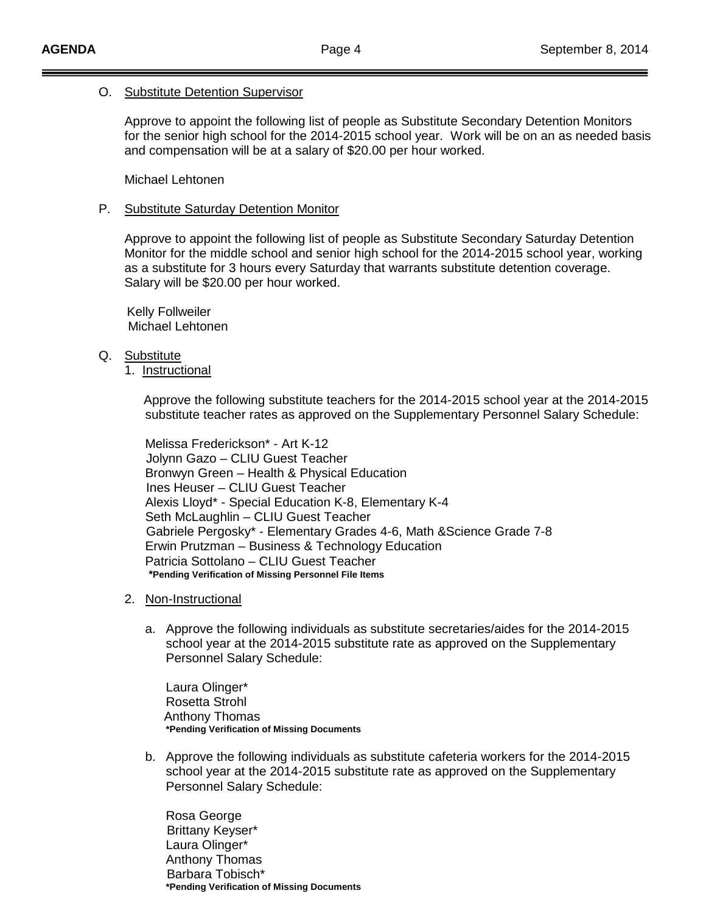## O. Substitute Detention Supervisor

Approve to appoint the following list of people as Substitute Secondary Detention Monitors for the senior high school for the 2014-2015 school year. Work will be on an as needed basis and compensation will be at a salary of \$20.00 per hour worked.

Michael Lehtonen

## P. Substitute Saturday Detention Monitor

Approve to appoint the following list of people as Substitute Secondary Saturday Detention Monitor for the middle school and senior high school for the 2014-2015 school year, working as a substitute for 3 hours every Saturday that warrants substitute detention coverage. Salary will be \$20.00 per hour worked.

 Kelly Follweiler Michael Lehtonen

- Q. <u>Substitute</u>
	- 1. Instructional

Approve the following substitute teachers for the 2014-2015 school year at the 2014-2015 substitute teacher rates as approved on the Supplementary Personnel Salary Schedule:

Melissa Frederickson\* - Art K-12 Jolynn Gazo – CLIU Guest Teacher Bronwyn Green – Health & Physical Education Ines Heuser – CLIU Guest Teacher Alexis Lloyd\* - Special Education K-8, Elementary K-4 Seth McLaughlin – CLIU Guest Teacher Gabriele Pergosky\* - Elementary Grades 4-6, Math &Science Grade 7-8 Erwin Prutzman – Business & Technology Education Patricia Sottolano – CLIU Guest Teacher **\*Pending Verification of Missing Personnel File Items**

- 2. <u>Non-Instructional</u>
	- a. Approve the following individuals as substitute secretaries/aides for the 2014-2015 school year at the 2014-2015 substitute rate as approved on the Supplementary Personnel Salary Schedule:

Laura Olinger\* Rosetta Strohl Anthony Thomas **\*Pending Verification of Missing Documents**

b. Approve the following individuals as substitute cafeteria workers for the 2014-2015 school year at the 2014-2015 substitute rate as approved on the Supplementary Personnel Salary Schedule:

Rosa George Brittany Keyser\* Laura Olinger\* Anthony Thomas Barbara Tobisch\* **\*Pending Verification of Missing Documents**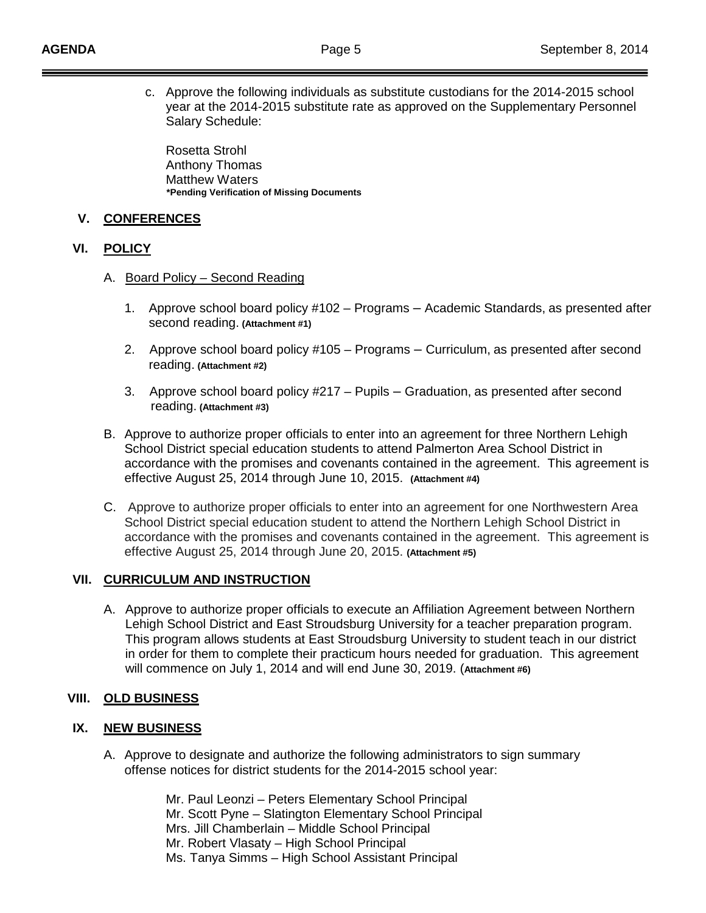c. Approve the following individuals as substitute custodians for the 2014-2015 school year at the 2014-2015 substitute rate as approved on the Supplementary Personnel Salary Schedule:

Rosetta Strohl Anthony Thomas Matthew Waters **\*Pending Verification of Missing Documents**

### **V. CONFERENCES**

#### **VI. POLICY**

- A. Board Policy Second Reading
	- 1. Approve school board policy #102 Programs Academic Standards, as presented after second reading. **(Attachment #1)**
	- 2. Approve school board policy #105 Programs Curriculum, as presented after second reading. **(Attachment #2)**
	- 3. Approve school board policy #217 Pupils Graduation, as presented after second reading. **(Attachment #3)**
- B. Approve to authorize proper officials to enter into an agreement for three Northern Lehigh School District special education students to attend Palmerton Area School District in accordance with the promises and covenants contained in the agreement. This agreement is effective August 25, 2014 through June 10, 2015. **(Attachment #4)**
- C. Approve to authorize proper officials to enter into an agreement for one Northwestern Area School District special education student to attend the Northern Lehigh School District in accordance with the promises and covenants contained in the agreement. This agreement is effective August 25, 2014 through June 20, 2015. **(Attachment #5)**

## **VII. CURRICULUM AND INSTRUCTION**

A. Approve to authorize proper officials to execute an Affiliation Agreement between Northern Lehigh School District and East Stroudsburg University for a teacher preparation program. This program allows students at East Stroudsburg University to student teach in our district in order for them to complete their practicum hours needed for graduation. This agreement will commence on July 1, 2014 and will end June 30, 2019. (**Attachment #6)** 

## **VIII. OLD BUSINESS**

#### **IX. NEW BUSINESS**

A. Approve to designate and authorize the following administrators to sign summary offense notices for district students for the 2014-2015 school year:

> Mr. Paul Leonzi – Peters Elementary School Principal Mr. Scott Pyne – Slatington Elementary School Principal Mrs. Jill Chamberlain – Middle School Principal Mr. Robert Vlasaty – High School Principal Ms. Tanya Simms – High School Assistant Principal